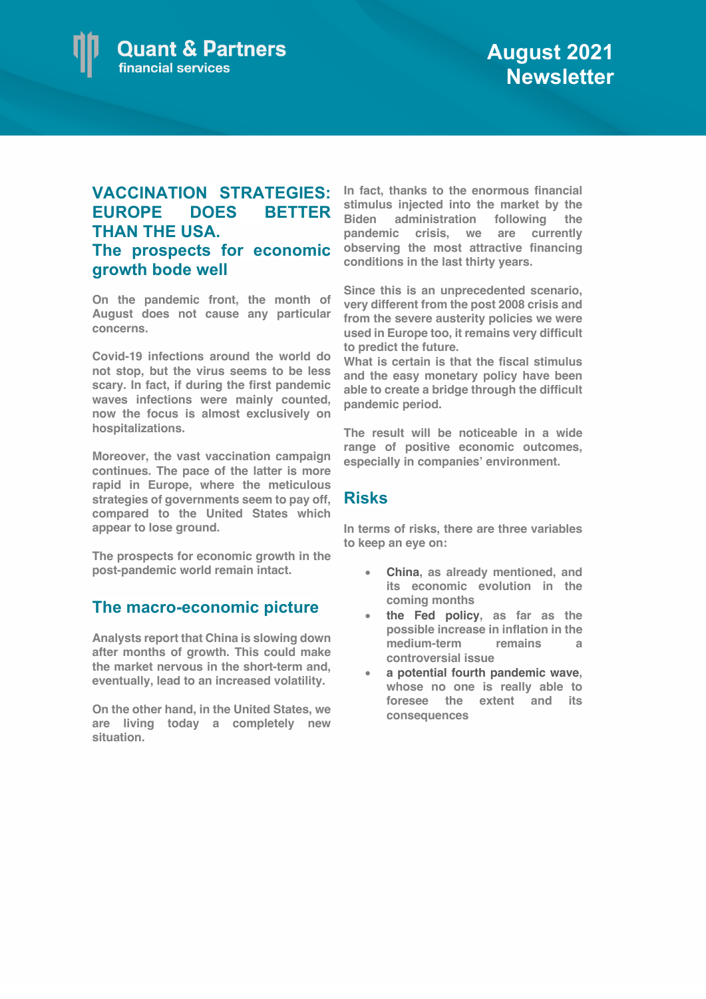## **VACCINATION STRATEGIES: EUROPE DOES BETTER THAN THE USA. The prospects for economic growth bode well**

**On the pandemic front, the month of August does not cause any particular concerns.**

**Covid-19 infections around the world do not stop, but the virus seems to be less scary. In fact, if during the first pandemic waves infections were mainly counted, now the focus is almost exclusively on hospitalizations.** 

**Moreover, the vast vaccination campaign continues. The pace of the latter is more rapid in Europe, where the meticulous strategies of governments seem to pay off, compared to the United States which appear to lose ground.**

**The prospects for economic growth in the post-pandemic world remain intact.**

## **The macro-economic picture**

**Analysts report that China is slowing down after months of growth. This could make the market nervous in the short-term and, eventually, lead to an increased volatility.**

**On the other hand, in the United States, we are living today a completely new situation.** 

**In fact, thanks to the enormous financial stimulus injected into the market by the Biden administration following the pandemic crisis, we are currently observing the most attractive financing conditions in the last thirty years.**

**Since this is an unprecedented scenario, very different from the post 2008 crisis and from the severe austerity policies we were used in Europe too, it remains very difficult to predict the future.** 

**What is certain is that the fiscal stimulus and the easy monetary policy have been able to create a bridge through the difficult pandemic period.** 

**The result will be noticeable in a wide range of positive economic outcomes, especially in companies' environment.** 

## **Risks**

**In terms of risks, there are three variables to keep an eye on:**

- **China, as already mentioned, and its economic evolution in the coming months**
- **the Fed policy, as far as the possible increase in inflation in the medium-term remains a controversial issue**
- **a potential fourth pandemic wave, whose no one is really able to foresee the extent and its consequences**